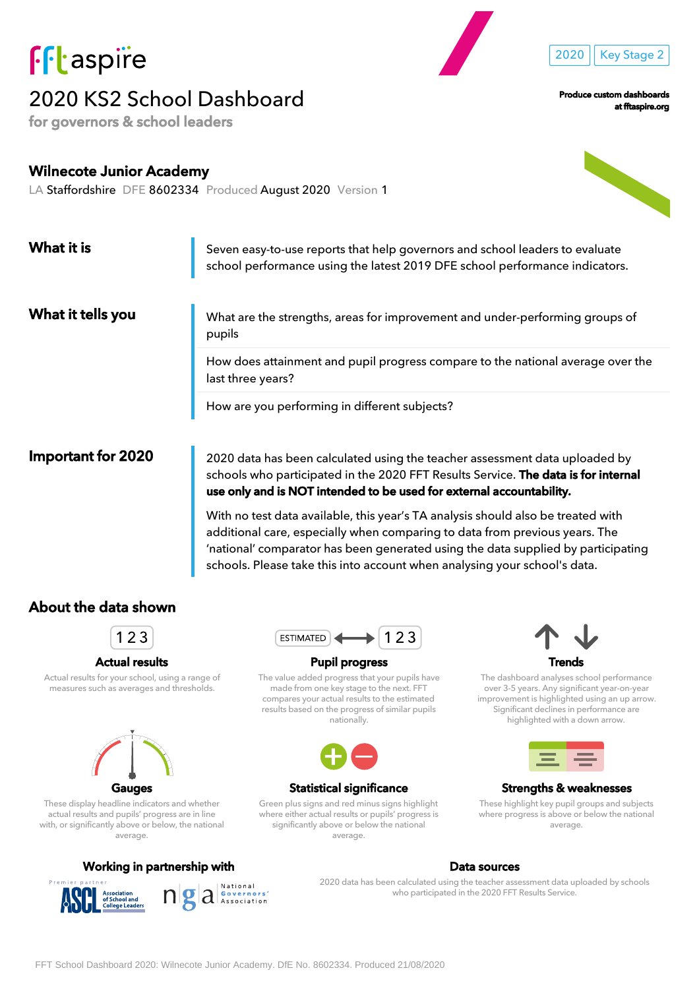

# 2020 KS2 School Dashboard

for governors & school leaders

Produce custom dashboards

2020 | Key Stage 2

at fftaspire.org

# Wilnecote Junior Academy LA Staffordshire DFE 8602334 Produced August 2020 Version 1

| What it is                | Seven easy-to-use reports that help governors and school leaders to evaluate<br>school performance using the latest 2019 DFE school performance indicators.                                                                               |  |  |  |  |  |
|---------------------------|-------------------------------------------------------------------------------------------------------------------------------------------------------------------------------------------------------------------------------------------|--|--|--|--|--|
| What it tells you         | What are the strengths, areas for improvement and under-performing groups of<br>pupils                                                                                                                                                    |  |  |  |  |  |
|                           | How does attainment and pupil progress compare to the national average over the<br>last three years?                                                                                                                                      |  |  |  |  |  |
|                           | How are you performing in different subjects?                                                                                                                                                                                             |  |  |  |  |  |
| <b>Important for 2020</b> | 2020 data has been calculated using the teacher assessment data uploaded by<br>schools who participated in the 2020 FFT Results Service. The data is for internal<br>use only and is NOT intended to be used for external accountability. |  |  |  |  |  |

With no test data available, this year's TA analysis should also be treated with additional care, especially when comparing to data from previous years. The 'national' comparator has been generated using the data supplied by participating schools. Please take this into account when analysing your school's data.

### About the data shown



#### Actual results

Actual results for your school, using a range of measures such as averages and thresholds.



These display headline indicators and whether actual results and pupils' progress are in line with, or significantly above or below, the national average.

#### Working in partnership with North States and Data sources





#### Pupil progress

The value added progress that your pupils have made from one key stage to the next. FFT compares your actual results to the estimated results based on the progress of similar pupils nationally.



#### Statistical significance

Green plus signs and red minus signs highlight where either actual results or pupils' progress is significantly above or below the national average.



The dashboard analyses school performance over 3-5 years. Any significant year-on-year improvement is highlighted using an up arrow. Significant declines in performance are highlighted with a down arrow.



#### Strengths & weaknesses

These highlight key pupil groups and subjects where progress is above or below the national average.

2020 data has been calculated using the teacher assessment data uploaded by schools who participated in the 2020 FFT Results Service.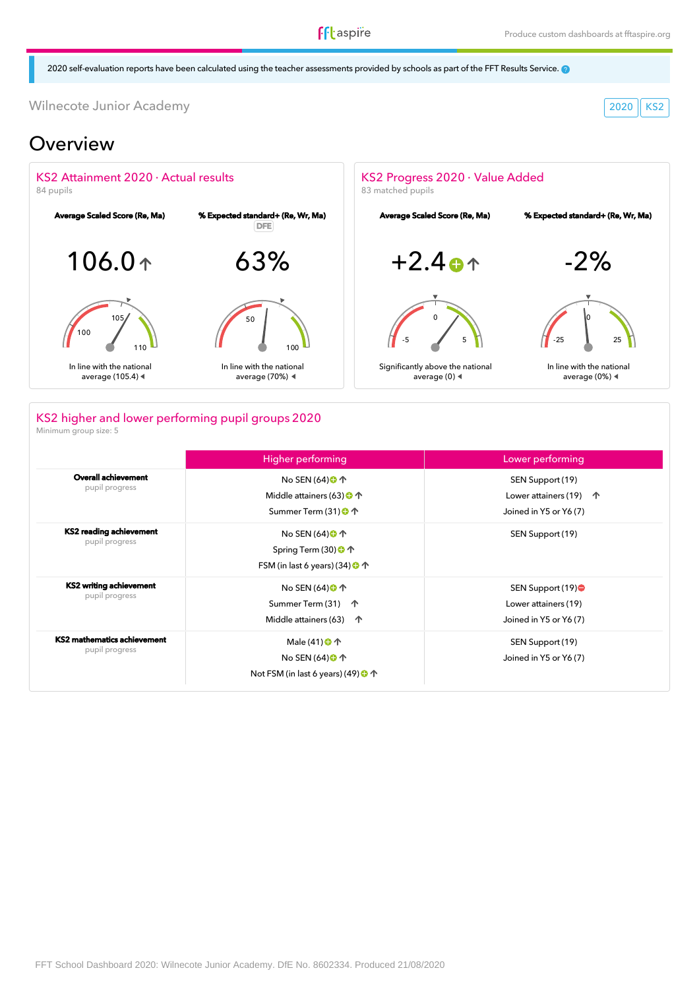**ff**taspire

2020 self-evaluation reports have been calculated using the teacher assessments provided by schools as part of the FFT Results Service.

Wilnecote Junior Academy 2020 KS2

## Overview



### KS2 higher and lower performing pupil groups 2020

Minimum group size: 5

|                                               | <b>Higher performing</b>                                                                                         | Lower performing                                                              |
|-----------------------------------------------|------------------------------------------------------------------------------------------------------------------|-------------------------------------------------------------------------------|
| <b>Overall achievement</b><br>pupil progress  | No SEN $(64)$ $\bigoplus$ $\uparrow$<br>Middle attainers (63) $\bigcirc$ $\uparrow$<br>Summer Term (31) ← ↑      | SEN Support (19)<br>Lower attainers (19) $\uparrow$<br>Joined in Y5 or Y6 (7) |
| KS2 reading achievement<br>pupil progress     | No SEN $(64)$ $\bigoplus$ $\uparrow$<br>Spring Term (30) + ↑<br>FSM (in last 6 years) (34) $\bigcirc$ $\uparrow$ | SEN Support (19)                                                              |
| KS2 writing achievement<br>pupil progress     | No SEN $(64)$ <sup>O</sup> <sup>1</sup><br>Summer Term (31) 个<br>Middle attainers (63)<br>一个                     | SEN Support (19)●<br>Lower attainers (19)<br>Joined in Y5 or Y6 (7)           |
| KS2 mathematics achievement<br>pupil progress | Male (41) <b>←</b><br>No SEN (64) <b>O</b> ↑<br>Not FSM (in last 6 years) (49) $\bigcirc$ $\uparrow$             | SEN Support (19)<br>Joined in Y5 or Y6 (7)                                    |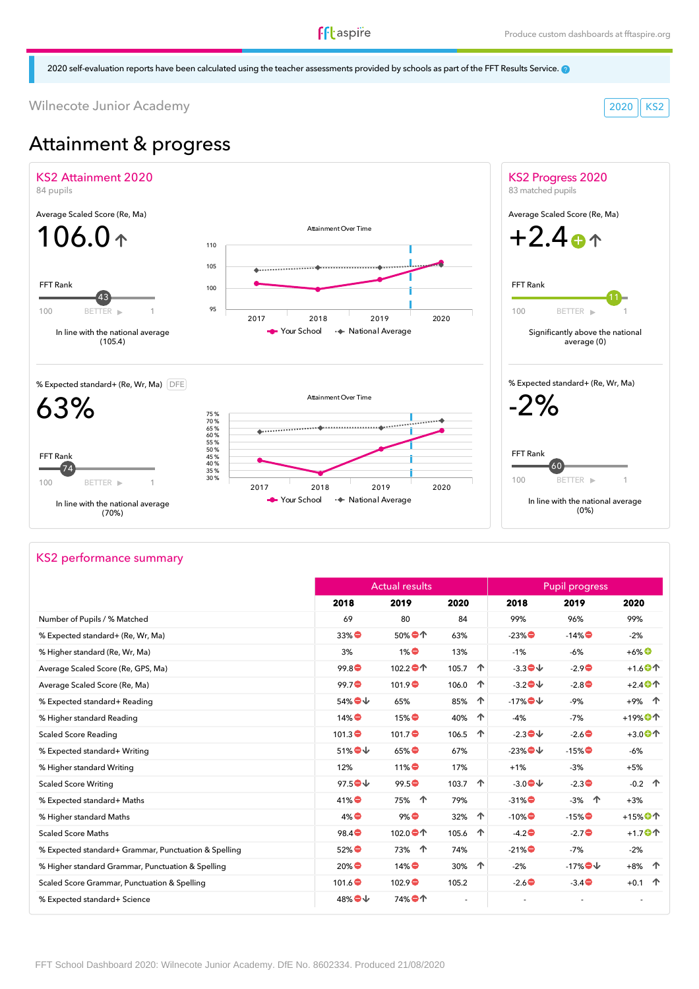### **f**ftaspire

2020 self-evaluation reports have been calculated using the teacher assessments provided by schools as part of the FFT Results Service.

Wilnecote Junior Academy 2020 KS2

# Attainment & progress



#### KS2 performance summary

|                                                      |                                         | <b>Actual results</b> |            | <b>Pupil progress</b>            |          |                                       |  |
|------------------------------------------------------|-----------------------------------------|-----------------------|------------|----------------------------------|----------|---------------------------------------|--|
|                                                      | 2018                                    | 2019                  | 2020       | 2018                             | 2019     | 2020                                  |  |
| Number of Pupils / % Matched                         | 69                                      | 80                    | 84         | 99%                              | 96%      | 99%                                   |  |
| % Expected standard+ (Re, Wr, Ma)                    | $33\%$                                  | 50%●个                 | 63%        | $-23\%$                          | $-14\%$  | $-2%$                                 |  |
| % Higher standard (Re, Wr, Ma)                       | 3%                                      | $1\%$                 | 13%        | $-1%$                            | $-6%$    | $+6\%$ <sup>O</sup>                   |  |
| Average Scaled Score (Re, GPS, Ma)                   | 99.8                                    | 102.2●个               | 个<br>105.7 | $-3.3$                           | $-2.9$   | $+1.6$ <sup>O</sup>                   |  |
| Average Scaled Score (Re, Ma)                        | 99.7                                    | 101.9                 | 个<br>106.0 | $-3.2$ $\blacklozenge\downarrow$ | $-2.8$   | $+2.4$ <sup>O</sup>                   |  |
| % Expected standard+ Reading                         | 54%●↓                                   | 65%                   | 个<br>85%   | $-17\%$                          | $-9%$    | +9% 个                                 |  |
| % Higher standard Reading                            | $14\%$                                  | $15\%$                | 40%<br>个   | $-4%$                            | $-7%$    | $+19%$ <sup>O</sup>                   |  |
| <b>Scaled Score Reading</b>                          | $101.3 \bullet$                         | 101.7                 | 个<br>106.5 | $-2.3$                           | $-2.6$   | $+3.0$ <sup>O</sup>                   |  |
| % Expected standard+ Writing                         | $51\%$ $\bigodot$ $\downarrow$          | $65\%$                | 67%        | $-23\%$                          | $-15\%$  | $-6%$                                 |  |
| % Higher standard Writing                            | 12%                                     | $11\%$                | 17%        | $+1%$                            | $-3%$    | $+5%$                                 |  |
| <b>Scaled Score Writing</b>                          | $97.5$ <sup><math>\bigcirc</math></sup> | 99.5                  | 个<br>103.7 | $-3.0$                           | $-2.3$   | $-0.2$ 个                              |  |
| % Expected standard+ Maths                           | $41\%$                                  | 75% 个                 | 79%        | $-31\%$                          | 个<br>-3% | $+3%$                                 |  |
| % Higher standard Maths                              | $4\%$                                   | $9\%$                 | 个<br>32%   | $-10\%$                          | $-15\%$  | $+15%$ <sup><math>\oplus</math></sup> |  |
| <b>Scaled Score Maths</b>                            | 98.4                                    | 102.0●个               | 个<br>105.6 | $-4.2$                           | $-2.7$   | $+1.7$ <sup>O</sup> <sup>1</sup>      |  |
| % Expected standard+ Grammar, Punctuation & Spelling | 52%●                                    | 73% 个                 | 74%        | $-21\%$                          | $-7%$    | $-2%$                                 |  |
| % Higher standard Grammar, Punctuation & Spelling    | $20\%$                                  | $14\%$                | 个<br>30%   | $-2%$                            | $-17\%$  | +8% 个                                 |  |
| Scaled Score Grammar, Punctuation & Spelling         | 101.6                                   | 102.9                 | 105.2      | $-2.6$                           | $-3.4$   | $+0.1$ 个                              |  |
| % Expected standard+ Science                         | 48%●↓                                   | 74%●个                 |            |                                  |          |                                       |  |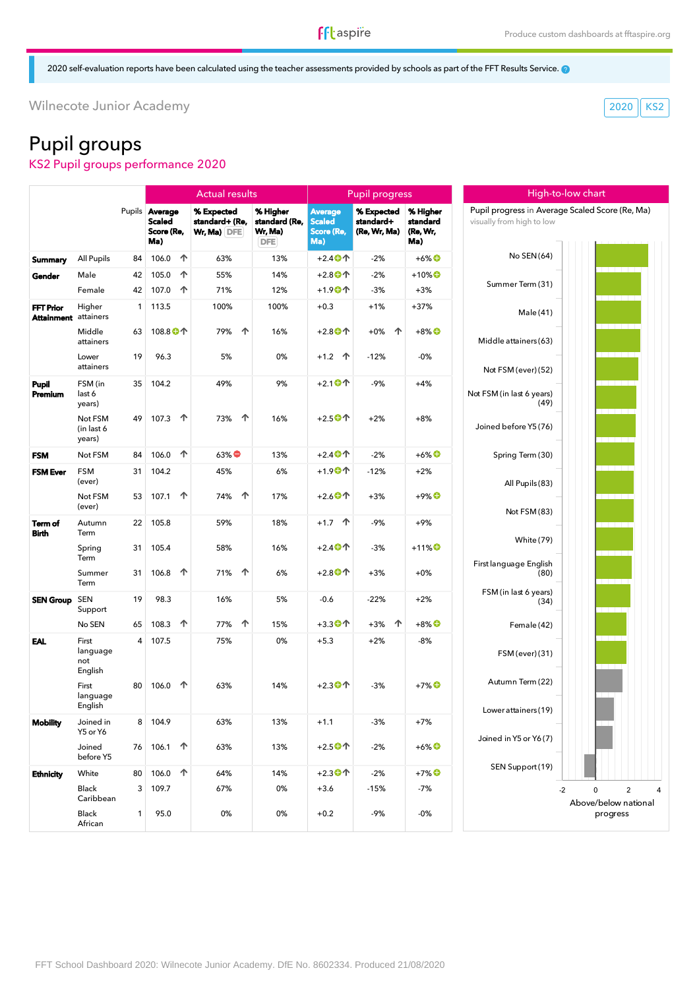High-to-low chart

2020 self-evaluation reports have been calculated using the teacher assessments provided by schools as part of the FFT Results Service.

Wilnecote Junior Academy 2020 KS2

# Pupil groups

KS2 Pupil groups performance 2020

|                                                 |                                     |                |                                                      |    | <b>Actual results</b>                           |                                                    | <b>Pupil progress</b>                         |                                         |                                         | High-to-low chart                                                            |                                                    |  |
|-------------------------------------------------|-------------------------------------|----------------|------------------------------------------------------|----|-------------------------------------------------|----------------------------------------------------|-----------------------------------------------|-----------------------------------------|-----------------------------------------|------------------------------------------------------------------------------|----------------------------------------------------|--|
|                                                 |                                     |                | Pupils Average<br><b>Scaled</b><br>Score (Re,<br>Ma) |    | % Expected<br>standard+ (Re,<br>$Wr, Ma)$ $DFE$ | % Higher<br>standard (Re,<br>Wr, Ma)<br><b>DFE</b> | Average<br><b>Scaled</b><br>Score (Re,<br>Ma) | % Expected<br>standard+<br>(Re, Wr, Ma) | % Higher<br>standard<br>(Re, Wr,<br>Ma) | Pupil progress in Average Scaled Score (Re, Ma)<br>visually from high to low |                                                    |  |
| <b>Summary</b>                                  | All Pupils                          | 84             | 106.0                                                | 个  | 63%                                             | 13%                                                | $+2.4$ <sup>O</sup>                           | $-2%$                                   | $+6\%$ <sup>O</sup>                     | No SEN(64)                                                                   |                                                    |  |
| Gender                                          | Male                                | 42             | 105.0                                                | 个  | 55%                                             | 14%                                                | $+2.8$ <sup>O</sup>                           | $-2%$                                   | $+10\%$ <sup>O</sup>                    |                                                                              |                                                    |  |
|                                                 | Female                              | 42             | 107.0                                                | 个  | 71%                                             | 12%                                                | $+1.9$ <sup>O</sup>                           | $-3%$                                   | $+3%$                                   | Summer Term (31)                                                             |                                                    |  |
| <b>FFT Prior</b><br><b>Attainment</b> attainers | Higher                              | 1              | 113.5                                                |    | 100%                                            | 100%                                               | $+0.3$                                        | $+1%$                                   | $+37%$                                  | Male (41)                                                                    |                                                    |  |
|                                                 | Middle<br>attainers                 | 63             | 108.8 <sup>1</sup> 个                                 |    | 个<br>79%                                        | 16%                                                | $+2.8$ <sup>O</sup>                           | 个<br>$+0\%$                             | $+8\%$ <sup><math>\bigcirc</math></sup> | Middle attainers (63)                                                        |                                                    |  |
|                                                 | Lower<br>attainers                  | 19             | 96.3                                                 |    | 5%                                              | 0%                                                 | $+1.2$ 个                                      | $-12%$                                  | $-0%$                                   | Not FSM (ever) (52)                                                          |                                                    |  |
| Pupil<br>Premium                                | FSM (in<br>last 6<br>years)         | 35             | 104.2                                                |    | 49%                                             | 9%                                                 | $+2.1$ <sup>O</sup>                           | $-9%$                                   | $+4%$                                   | Not FSM (in last 6 years)<br>(49)                                            |                                                    |  |
|                                                 | Not FSM<br>(in last 6<br>years)     | 49             | 107.3                                                | 个  | 个<br>73%                                        | 16%                                                | $+2.5$ <sup>O</sup>                           | $+2%$                                   | $+8%$                                   | Joined before Y5(76)                                                         |                                                    |  |
| <b>FSM</b>                                      | Not FSM                             | 84             | 106.0                                                | 一个 | $63\%$                                          | 13%                                                | $+2.4$ <sup>O</sup>                           | $-2%$                                   | $+6\%$ <sup>O</sup>                     | Spring Term (30)                                                             |                                                    |  |
| <b>FSM Ever</b>                                 | <b>FSM</b><br>(ever)                | 31             | 104.2                                                |    | 45%                                             | 6%                                                 | $+1.9$ <sup>O</sup>                           | $-12%$                                  | $+2%$                                   | All Pupils (83)                                                              |                                                    |  |
|                                                 | Not FSM<br>(ever)                   | 53             | 107.1                                                | 个  | 个<br>74%                                        | 17%                                                | $+2.6$ <sup>O</sup>                           | $+3%$                                   | $+9\%$ $\bullet$                        | Not FSM (83)                                                                 |                                                    |  |
| Term of<br><b>Birth</b>                         | Autumn<br>Term                      | 22             | 105.8                                                |    | 59%                                             | 18%                                                | $+1.7$ 个                                      | $-9%$                                   | $+9%$                                   | <b>White (79)</b>                                                            |                                                    |  |
|                                                 | Spring<br>Term                      | 31             | 105.4                                                |    | 58%                                             | 16%                                                | $+2.4$ <sup>O</sup>                           | $-3%$                                   | $+11\%$ <sup>O</sup>                    | First language English                                                       |                                                    |  |
|                                                 | Summer<br>Term                      | 31             | 106.8                                                | 个  | 个<br>71%                                        | 6%                                                 | $+2.8$ <sup>O</sup>                           | $+3%$                                   | $+0\%$                                  | (80)                                                                         |                                                    |  |
| SEN Group SEN                                   | Support                             | 19             | 98.3                                                 |    | 16%                                             | 5%                                                 | $-0.6$                                        | -22%                                    | $+2%$                                   | FSM (in last 6 years)<br>(34)                                                |                                                    |  |
|                                                 | No SEN                              | 65             | 108.3                                                | 个  | 个<br>77%                                        | 15%                                                | $+3.3$ <sup>O</sup>                           | 个<br>$+3%$                              | $+8\%$ <sup>O</sup>                     | Female (42)                                                                  |                                                    |  |
| EAL                                             | First<br>language<br>not<br>English | $\overline{4}$ | 107.5                                                |    | 75%                                             | 0%                                                 | $+5.3$                                        | $+2%$                                   | $-8%$                                   | FSM (ever) (31)                                                              |                                                    |  |
|                                                 | First<br>language<br>English        | 80             | 106.0                                                | 个  | 63%                                             | 14%                                                | $+2.3$ <sup>O</sup>                           | $-3%$                                   | $+7\%$ <sup>O</sup>                     | Autumn Term (22)<br>Lower attainers (19)                                     |                                                    |  |
| <b>Mobility</b>                                 | Joined in<br>Y5 or Y6               |                | 8 104.9                                              |    | 63%                                             | 13%                                                | $+1.1$                                        | $-3%$                                   | $+7%$                                   |                                                                              |                                                    |  |
|                                                 | Joined<br>before Y5                 | 76             | 106.1                                                | ↑  | 63%                                             | 13%                                                | $+2.5$ <sup>O</sup>                           | $-2%$                                   | $+6\%$ <sup>O</sup>                     | Joined in Y5 or Y6(7)                                                        |                                                    |  |
| <b>Ethnicity</b>                                | White                               | 80             | 106.0                                                | 个  | 64%                                             | 14%                                                | $+2.3$ <sup>O</sup>                           | $-2%$                                   | $+7\%$ <sup>O</sup>                     | SEN Support (19)                                                             |                                                    |  |
|                                                 | Black<br>Caribbean                  | 3              | 109.7                                                |    | 67%                                             | 0%                                                 | $+3.6$                                        | $-15%$                                  | $-7%$                                   |                                                                              | 0<br>$\overline{2}$<br>$-2$<br>Above/below nationa |  |
|                                                 | Black<br>African                    | $\mathbf{1}$   | 95.0                                                 |    | 0%                                              | 0%                                                 | $+0.2$                                        | -9%                                     | $-0%$                                   |                                                                              | progress                                           |  |



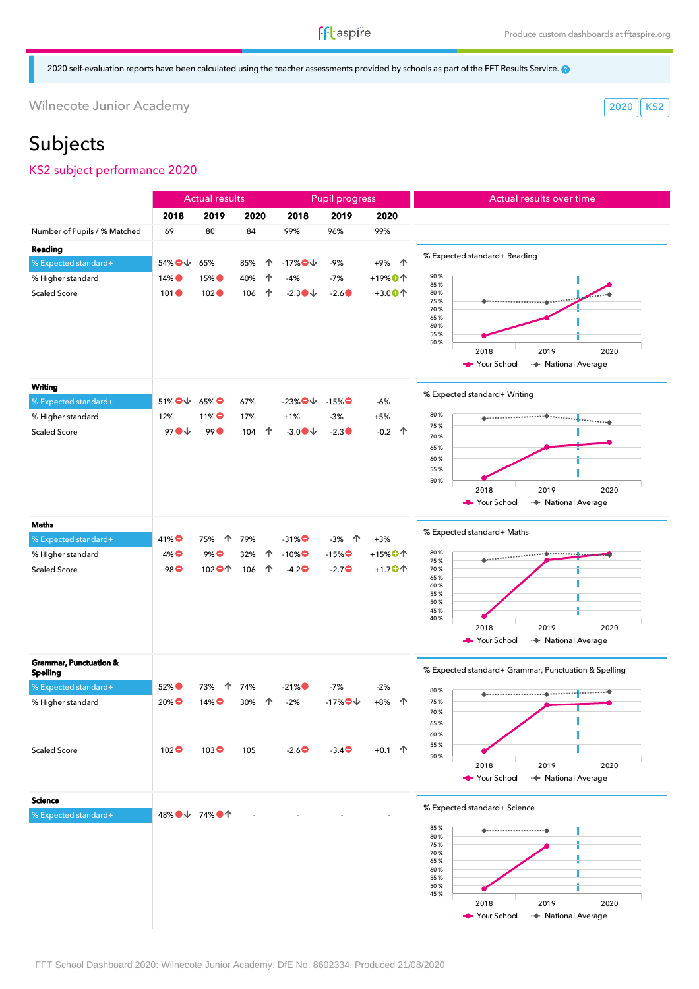### **ff**taspire

2020 self-evaluation reports have been calculated using the teacher assessments provided by schools as part of the FFT Results Service.

Wilnecote Junior Academy 2020 KS2

# Subjects

#### KS2 subject performance 2020

|                                   |                                                    | <b>Actual results</b>              |          |         | <b>Pupil progress</b> |                      | Actual results over time                             |
|-----------------------------------|----------------------------------------------------|------------------------------------|----------|---------|-----------------------|----------------------|------------------------------------------------------|
|                                   | 2018                                               | 2019                               | 2020     | 2018    | 2019                  | 2020                 |                                                      |
| Number of Pupils / % Matched      | 69                                                 | 80                                 | 84       | 99%     | 96%                   | 99%                  |                                                      |
| Reading                           |                                                    |                                    |          |         |                       |                      |                                                      |
| % Expected standard+              | 54%●↓                                              | 65%                                | 85%<br>个 | $-17\%$ | -9%                   | 个<br>$+9%$           | % Expected standard+ Reading                         |
| % Higher standard                 | $14\%$                                             | $15\%$                             | 个<br>40% | $-4%$   | $-7%$                 | $+19\%$ <sup>O</sup> | 90%                                                  |
| <b>Scaled Score</b>               | 101                                                | 102                                | 个<br>106 | $-2.3$  | $-2.6$                | $+3.0$ <sup>O</sup>  | 85%<br>80%                                           |
|                                   |                                                    |                                    |          |         |                       |                      | 75%<br>70%                                           |
|                                   |                                                    |                                    |          |         |                       |                      | 65%                                                  |
|                                   |                                                    |                                    |          |         |                       |                      | 60%<br>55%                                           |
|                                   |                                                    |                                    |          |         |                       |                      | 50%<br>2019<br>2018<br>2020                          |
|                                   |                                                    |                                    |          |         |                       |                      | Your School<br>·◆ National Average                   |
|                                   |                                                    |                                    |          |         |                       |                      |                                                      |
| <b>Writing</b>                    |                                                    |                                    |          |         |                       |                      | % Expected standard+ Writing                         |
| % Expected standard+              | $51\%$ $\blacktriangleright$ $\blacktriangleright$ | $65\%$                             | 67%      | $-23\%$ | $-15%$                | -6%                  |                                                      |
| % Higher standard                 | 12%                                                | $11\%$                             | 17%      | $+1%$   | $-3%$                 | $+5%$                | 80%<br>75%                                           |
| <b>Scaled Score</b>               | 97 $\bullet\downarrow$                             | 99                                 | 个<br>104 | $-3.0$  | $-2.3$                | $-0.2$ 个             | 70%                                                  |
|                                   |                                                    |                                    |          |         |                       |                      | 65%                                                  |
|                                   |                                                    |                                    |          |         |                       |                      | 60%<br>55%                                           |
|                                   |                                                    |                                    |          |         |                       |                      | 50%                                                  |
|                                   |                                                    |                                    |          |         |                       |                      | 2019<br>2018<br>2020                                 |
|                                   |                                                    |                                    |          |         |                       |                      | Your School<br>·◆ National Average                   |
| Maths                             |                                                    |                                    |          |         |                       |                      | % Expected standard+ Maths                           |
| % Expected standard+              | $41\%$                                             | 个<br>75%                           | 79%      | $-31\%$ | -3%<br>一个             | $+3%$                |                                                      |
| % Higher standard                 | $4\%$                                              | $9\%$                              | 32%<br>个 | $-10\%$ | $-15%$                | $+15%$ <sup>O</sup>  | 80%<br><b>O</b> <mark>.</mark><br>75%                |
| <b>Scaled Score</b>               | 98●                                                | 102 $\bullet\text{\textcircled{}}$ | 106<br>个 | $-4.2$  | $-2.7$                | $+1.7$ <sup>O</sup>  | 70%                                                  |
|                                   |                                                    |                                    |          |         |                       |                      | 65%<br>60%                                           |
|                                   |                                                    |                                    |          |         |                       |                      | 55%<br>50%                                           |
|                                   |                                                    |                                    |          |         |                       |                      | 45%<br>40%                                           |
|                                   |                                                    |                                    |          |         |                       |                      | 2018<br>2019<br>2020                                 |
|                                   |                                                    |                                    |          |         |                       |                      | Your School<br>· National Average                    |
| <b>Grammar, Punctuation &amp;</b> |                                                    |                                    |          |         |                       |                      |                                                      |
| <b>Spelling</b>                   |                                                    |                                    |          |         |                       |                      | % Expected standard+ Grammar, Punctuation & Spelling |
| % Expected standard+              | $52\%$                                             | 个<br>73%                           | 74%      | $-21%$  | $-7%$                 | $-2%$                | 80%                                                  |
| % Higher standard                 | $20\%$                                             | $14\%$                             | 个<br>30% | $-2%$   | $-17\%$               | $+8%$<br>个           | 75%                                                  |
|                                   |                                                    |                                    |          |         |                       |                      | 70%<br>65%                                           |
|                                   |                                                    |                                    |          |         |                       |                      | 60%                                                  |
| <b>Scaled Score</b>               | $102$ $\bullet$                                    | $103$ $\bullet$                    | 105      | $-2.6$  | $-3.4$                | $+0.1$ 个             | 55%                                                  |
|                                   |                                                    |                                    |          |         |                       |                      | 50%<br>2019<br>2018<br>2020                          |
|                                   |                                                    |                                    |          |         |                       |                      | Your School<br>·◆ National Average                   |
| <b>Science</b>                    |                                                    |                                    |          |         |                       |                      |                                                      |
| % Expected standard+              |                                                    | 48%●↓ 74%●↑                        |          |         |                       |                      | % Expected standard+ Science                         |
|                                   |                                                    |                                    |          |         |                       |                      | 85%                                                  |
|                                   |                                                    |                                    |          |         |                       |                      | 80%<br>75%                                           |
|                                   |                                                    |                                    |          |         |                       |                      | 70%                                                  |
|                                   |                                                    |                                    |          |         |                       |                      | 65%<br>60%                                           |
|                                   |                                                    |                                    |          |         |                       |                      | 55%<br>50%                                           |
|                                   |                                                    |                                    |          |         |                       |                      | 45%                                                  |
|                                   |                                                    |                                    |          |         |                       |                      | 2018<br>2019<br>2020                                 |

Your School + National Average

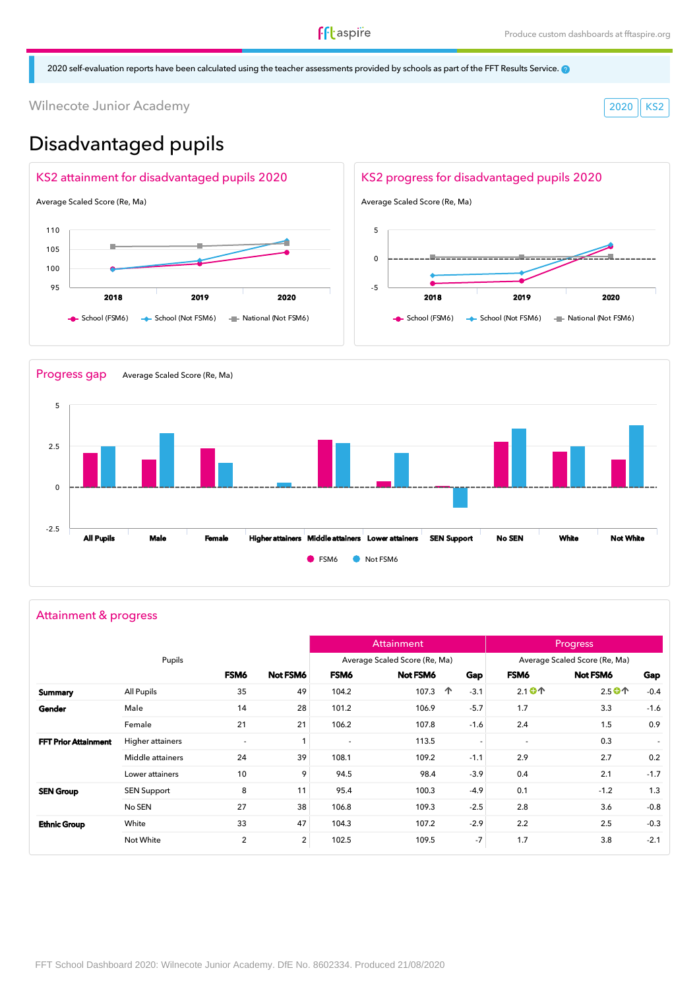2020 self-evaluation reports have been calculated using the teacher assessments provided by schools as part of the FFT Results Service.

Wilnecote Junior Academy 2020 KS2

# Disadvantaged pupils





#### Attainment & progress

|                             |                    |                          |                |                | Attainment                    |                          |                                                     | <b>Progress</b>                    |                          |
|-----------------------------|--------------------|--------------------------|----------------|----------------|-------------------------------|--------------------------|-----------------------------------------------------|------------------------------------|--------------------------|
|                             | Pupils             |                          |                |                | Average Scaled Score (Re, Ma) |                          |                                                     | Average Scaled Score (Re, Ma)      |                          |
|                             |                    | FSM6                     | Not FSM6       | FSM6           | Not FSM6                      | Gap                      | FSM6                                                | Not FSM6                           | Gap                      |
| Summary                     | All Pupils         | 35                       | 49             | 104.2          | 107.3                         | 个<br>$-3.1$              | $2.1$ <sup>O</sup> <sup><math>\uparrow</math></sup> | 2.5 $\bullet\text{\textcircled{}}$ | $-0.4$                   |
| Gender                      | Male               | 14                       | 28             | 101.2          | 106.9                         | $-5.7$                   | 1.7                                                 | 3.3                                | $-1.6$                   |
|                             | Female             | 21                       | 21             | 106.2          | 107.8                         | $-1.6$                   | 2.4                                                 | 1.5                                | 0.9                      |
| <b>FFT Prior Attainment</b> | Higher attainers   | $\overline{\phantom{a}}$ | 1              | $\blacksquare$ | 113.5                         | $\overline{\phantom{a}}$ | $\overline{\phantom{a}}$                            | 0.3                                | $\overline{\phantom{a}}$ |
|                             | Middle attainers   | 24                       | 39             | 108.1          | 109.2                         | $-1.1$                   | 2.9                                                 | 2.7                                | 0.2                      |
|                             | Lower attainers    | 10                       | 9              | 94.5           | 98.4                          | $-3.9$                   | 0.4                                                 | 2.1                                | $-1.7$                   |
| <b>SEN Group</b>            | <b>SEN Support</b> | 8                        | 11             | 95.4           | 100.3                         | $-4.9$                   | 0.1                                                 | $-1.2$                             | 1.3                      |
|                             | No SEN             | 27                       | 38             | 106.8          | 109.3                         | $-2.5$                   | 2.8                                                 | 3.6                                | $-0.8$                   |
| <b>Ethnic Group</b>         | White              | 33                       | 47             | 104.3          | 107.2                         | $-2.9$                   | 2.2                                                 | 2.5                                | $-0.3$                   |
|                             | Not White          | $\overline{2}$           | $\overline{2}$ | 102.5          | 109.5                         | $-7$                     | 1.7                                                 | 3.8                                | $-2.1$                   |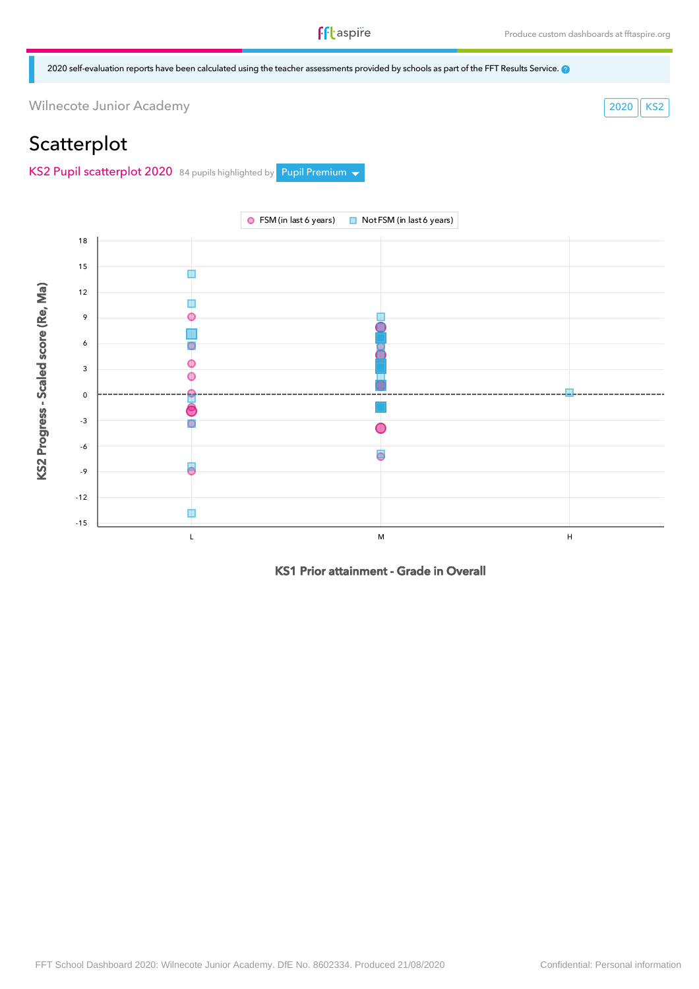2020 self-evaluation reports have been calculated using the teacher assessments provided by schools as part of the FFT Results Service.

Wilnecote Junior Academy 2020 KS2

# **Scatterplot**

KS2 Pupil scatterplot 2020 84 pupils highlighted by Pupil Premium  $\blacktriangledown$ 



KS1 Prior attainment - Grade in Overall